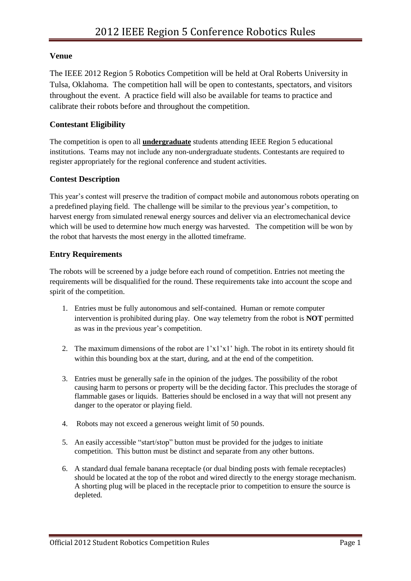### **Venue**

The IEEE 2012 Region 5 Robotics Competition will be held at Oral Roberts University in Tulsa, Oklahoma. The competition hall will be open to contestants, spectators, and visitors throughout the event. A practice field will also be available for teams to practice and calibrate their robots before and throughout the competition.

# **Contestant Eligibility**

The competition is open to all **undergraduate** students attending IEEE Region 5 educational institutions. Teams may not include any non-undergraduate students. Contestants are required to register appropriately for the regional conference and student activities.

# **Contest Description**

This year's contest will preserve the tradition of compact mobile and autonomous robots operating on a predefined playing field. The challenge will be similar to the previous year's competition, to harvest energy from simulated renewal energy sources and deliver via an electromechanical device which will be used to determine how much energy was harvested. The competition will be won by the robot that harvests the most energy in the allotted timeframe.

# **Entry Requirements**

The robots will be screened by a judge before each round of competition. Entries not meeting the requirements will be disqualified for the round. These requirements take into account the scope and spirit of the competition.

- 1. Entries must be fully autonomous and self-contained. Human or remote computer intervention is prohibited during play. One way telemetry from the robot is **NOT** permitted as was in the previous year's competition.
- 2. The maximum dimensions of the robot are 1'x1'x1' high. The robot in its entirety should fit within this bounding box at the start, during, and at the end of the competition.
- 3. Entries must be generally safe in the opinion of the judges. The possibility of the robot causing harm to persons or property will be the deciding factor. This precludes the storage of flammable gases or liquids. Batteries should be enclosed in a way that will not present any danger to the operator or playing field.
- 4. Robots may not exceed a generous weight limit of 50 pounds.
- 5. An easily accessible "start/stop" button must be provided for the judges to initiate competition. This button must be distinct and separate from any other buttons.
- 6. A standard dual female banana receptacle (or dual binding posts with female receptacles) should be located at the top of the robot and wired directly to the energy storage mechanism. A shorting plug will be placed in the receptacle prior to competition to ensure the source is depleted.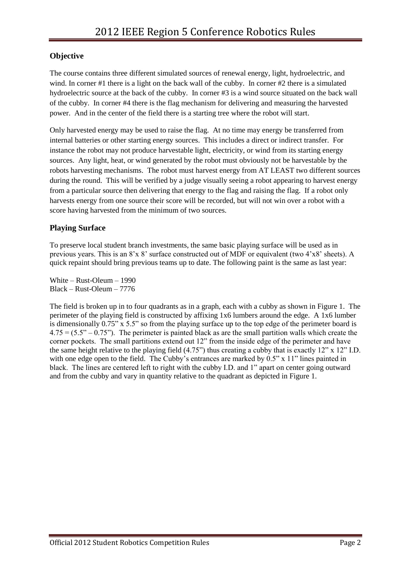# **Objective**

The course contains three different simulated sources of renewal energy, light, hydroelectric, and wind. In corner #1 there is a light on the back wall of the cubby. In corner #2 there is a simulated hydroelectric source at the back of the cubby. In corner #3 is a wind source situated on the back wall of the cubby. In corner #4 there is the flag mechanism for delivering and measuring the harvested power. And in the center of the field there is a starting tree where the robot will start.

Only harvested energy may be used to raise the flag. At no time may energy be transferred from internal batteries or other starting energy sources. This includes a direct or indirect transfer. For instance the robot may not produce harvestable light, electricity, or wind from its starting energy sources. Any light, heat, or wind generated by the robot must obviously not be harvestable by the robots harvesting mechanisms. The robot must harvest energy from AT LEAST two different sources during the round. This will be verified by a judge visually seeing a robot appearing to harvest energy from a particular source then delivering that energy to the flag and raising the flag. If a robot only harvests energy from one source their score will be recorded, but will not win over a robot with a score having harvested from the minimum of two sources.

### **Playing Surface**

To preserve local student branch investments, the same basic playing surface will be used as in previous years. This is an 8'x 8' surface constructed out of MDF or equivalent (two 4'x8' sheets). A quick repaint should bring previous teams up to date. The following paint is the same as last year:

White – Rust-Oleum – 1990 Black – Rust-Oleum – 7776

The field is broken up in to four quadrants as in a graph, each with a cubby as shown in Figure 1. The perimeter of the playing field is constructed by affixing 1x6 lumbers around the edge. A 1x6 lumber is dimensionally 0.75" x 5.5" so from the playing surface up to the top edge of the perimeter board is  $4.75 = (5.5 - 0.75)$ . The perimeter is painted black as are the small partition walls which create the corner pockets. The small partitions extend out 12" from the inside edge of the perimeter and have the same height relative to the playing field (4.75") thus creating a cubby that is exactly 12" x 12" I.D. with one edge open to the field. The Cubby's entrances are marked by 0.5" x 11" lines painted in black. The lines are centered left to right with the cubby I.D. and 1" apart on center going outward and from the cubby and vary in quantity relative to the quadrant as depicted in Figure 1.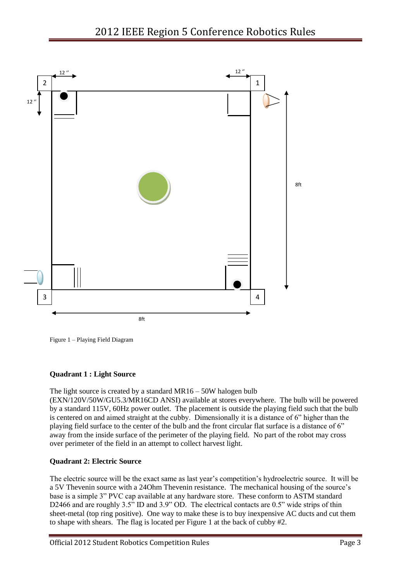

Figure 1 – Playing Field Diagram

### **Quadrant 1 : Light Source**

The light source is created by a standard MR16 – 50W halogen bulb

(EXN/120V/50W/GU5.3/MR16CD ANSI) available at stores everywhere. The bulb will be powered by a standard 115V, 60Hz power outlet. The placement is outside the playing field such that the bulb is centered on and aimed straight at the cubby. Dimensionally it is a distance of 6" higher than the playing field surface to the center of the bulb and the front circular flat surface is a distance of 6" away from the inside surface of the perimeter of the playing field. No part of the robot may cross over perimeter of the field in an attempt to collect harvest light.

#### **Quadrant 2: Electric Source**

The electric source will be the exact same as last year's competition's hydroelectric source. It will be a 5V Thevenin source with a 24Ohm Thevenin resistance. The mechanical housing of the source's base is a simple 3" PVC cap available at any hardware store. These conform to ASTM standard D2466 and are roughly 3.5" ID and 3.9" OD. The electrical contacts are 0.5" wide strips of thin sheet-metal (top ring positive). One way to make these is to buy inexpensive AC ducts and cut them to shape with shears. The flag is located per Figure 1 at the back of cubby #2.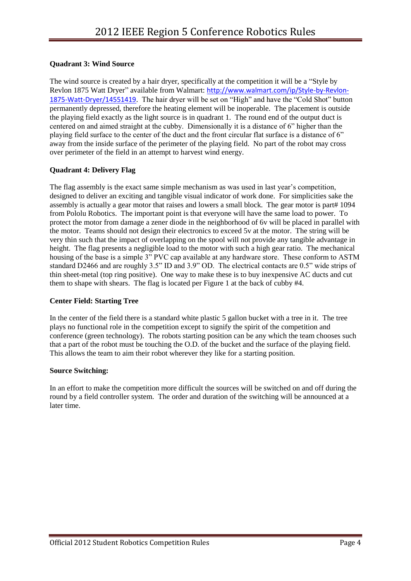### **Quadrant 3: Wind Source**

The wind source is created by a hair dryer, specifically at the competition it will be a "Style by Revlon 1875 Watt Dryer" available from Walmart: [http://www.walmart.com/ip/Style-by-Revlon-](http://www.walmart.com/ip/Style-by-Revlon-1875-Watt-Dryer/14551419)[1875-Watt-Dryer/14551419](http://www.walmart.com/ip/Style-by-Revlon-1875-Watt-Dryer/14551419). The hair dryer will be set on "High" and have the "Cold Shot" button permanently depressed, therefore the heating element will be inoperable. The placement is outside the playing field exactly as the light source is in quadrant 1. The round end of the output duct is centered on and aimed straight at the cubby. Dimensionally it is a distance of 6" higher than the playing field surface to the center of the duct and the front circular flat surface is a distance of 6" away from the inside surface of the perimeter of the playing field. No part of the robot may cross over perimeter of the field in an attempt to harvest wind energy.

#### **Quadrant 4: Delivery Flag**

The flag assembly is the exact same simple mechanism as was used in last year's competition, designed to deliver an exciting and tangible visual indicator of work done. For simplicities sake the assembly is actually a gear motor that raises and lowers a small block. The gear motor is part# 1094 from Pololu Robotics. The important point is that everyone will have the same load to power. To protect the motor from damage a zener diode in the neighborhood of 6v will be placed in parallel with the motor. Teams should not design their electronics to exceed 5v at the motor. The string will be very thin such that the impact of overlapping on the spool will not provide any tangible advantage in height. The flag presents a negligible load to the motor with such a high gear ratio. The mechanical housing of the base is a simple 3" PVC cap available at any hardware store. These conform to ASTM standard D2466 and are roughly 3.5" ID and 3.9" OD. The electrical contacts are 0.5" wide strips of thin sheet-metal (top ring positive). One way to make these is to buy inexpensive AC ducts and cut them to shape with shears. The flag is located per Figure 1 at the back of cubby #4.

#### **Center Field: Starting Tree**

In the center of the field there is a standard white plastic 5 gallon bucket with a tree in it. The tree plays no functional role in the competition except to signify the spirit of the competition and conference (green technology). The robots starting position can be any which the team chooses such that a part of the robot must be touching the O.D. of the bucket and the surface of the playing field. This allows the team to aim their robot wherever they like for a starting position.

#### **Source Switching:**

In an effort to make the competition more difficult the sources will be switched on and off during the round by a field controller system. The order and duration of the switching will be announced at a later time.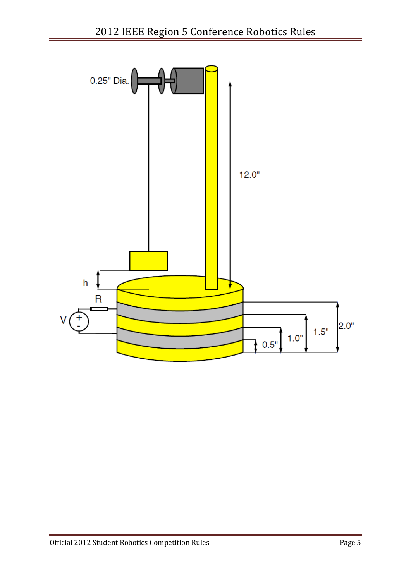